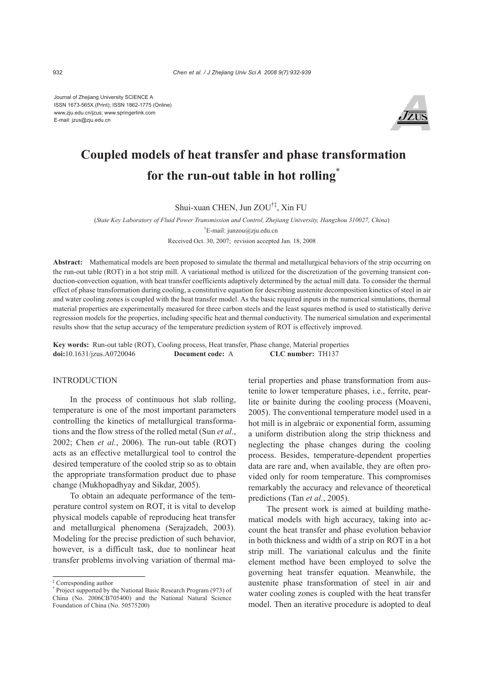Journal of Zhejiang University SCIENCE A ISSN 1673-565X (Print); ISSN 1862-1775 (Online) www.zju.edu.cn/jzus; www.springerlink.com E-mail: jzus@zju.edu.cn



# **Coupled models of heat transfer and phase transformation for the run-out table in hot rolling\***

Shui-xuan CHEN, Jun ZOU†‡, Xin FU

(*State Key Laboratory of Fluid Power Transmission and Control, Zhejiang University, Hangzhou 310027, China*) † E-mail: junzou@zju.edu.cn Received Oct. 30, 2007; revision accepted Jan. 18, 2008

**Abstract:** Mathematical models are been proposed to simulate the thermal and metallurgical behaviors of the strip occurring on the run-out table (ROT) in a hot strip mill. A variational method is utilized for the discretization of the governing transient conduction-convection equation, with heat transfer coefficients adaptively determined by the actual mill data. To consider the thermal effect of phase transformation during cooling, a constitutive equation for describing austenite decomposition kinetics of steel in air and water cooling zones is coupled with the heat transfer model. As the basic required inputs in the numerical simulations, thermal material properties are experimentally measured for three carbon steels and the least squares method is used to statistically derive regression models for the properties, including specific heat and thermal conductivity. The numerical simulation and experimental results show that the setup accuracy of the temperature prediction system of ROT is effectively improved.

**Key words:** Run-out table (ROT), Cooling process, Heat transfer, Phase change, Material properties **doi:**10.1631/jzus.A0720046 **Document code:** A **CLC number:** TH137

## INTRODUCTION

In the process of continuous hot slab rolling, temperature is one of the most important parameters controlling the kinetics of metallurgical transformations and the flow stress of the rolled metal (Sun *et al*., 2002; Chen *et al.*, 2006). The run-out table (ROT) acts as an effective metallurgical tool to control the desired temperature of the cooled strip so as to obtain the appropriate transformation product due to phase change (Mukhopadhyay and Sikdar, 2005).

To obtain an adequate performance of the temperature control system on ROT, it is vital to develop physical models capable of reproducing heat transfer and metallurgical phenomena (Serajzadeh, 2003). Modeling for the precise prediction of such behavior, however, is a difficult task, due to nonlinear heat transfer problems involving variation of thermal material properties and phase transformation from austenite to lower temperature phases, i.e., ferrite, pearlite or bainite during the cooling process (Moaveni, 2005). The conventional temperature model used in a hot mill is in algebraic or exponential form, assuming a uniform distribution along the strip thickness and neglecting the phase changes during the cooling process. Besides, temperature-dependent properties data are rare and, when available, they are often provided only for room temperature. This compromises remarkably the accuracy and relevance of theoretical predictions (Tan *et al.*, 2005).

 The present work is aimed at building mathematical models with high accuracy, taking into account the heat transfer and phase evolution behavior in both thickness and width of a strip on ROT in a hot strip mill. The variational calculus and the finite element method have been employed to solve the governing heat transfer equation. Meanwhile, the austenite phase transformation of steel in air and water cooling zones is coupled with the heat transfer model. Then an iterative procedure is adopted to deal

<sup>‡</sup> Corresponding author

<sup>\*</sup> Project supported by the National Basic Research Program (973) of China (No. 2006CB705400) and the National Natural Science Foundation of China (No. 50575200)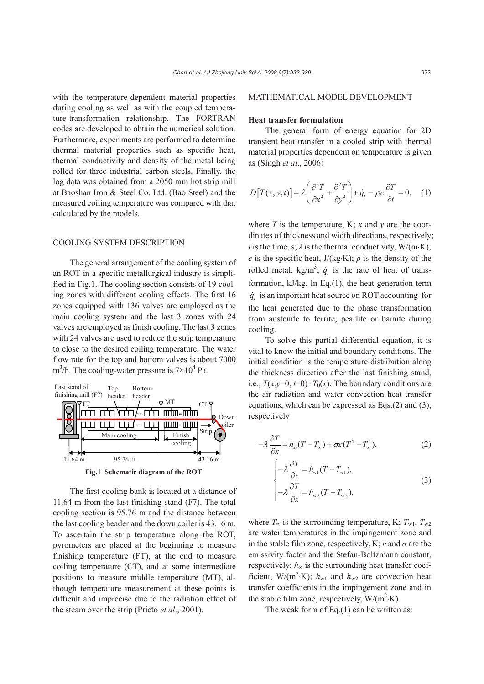with the temperature-dependent material properties during cooling as well as with the coupled temperature-transformation relationship. The FORTRAN codes are developed to obtain the numerical solution. Furthermore, experiments are performed to determine thermal material properties such as specific heat, thermal conductivity and density of the metal being rolled for three industrial carbon steels. Finally, the log data was obtained from a 2050 mm hot strip mill at Baoshan Iron & Steel Co. Ltd. (Bao Steel) and the measured coiling temperature was compared with that calculated by the models.

### COOLING SYSTEM DESCRIPTION

The general arrangement of the cooling system of an ROT in a specific metallurgical industry is simplified in Fig.1. The cooling section consists of 19 cooling zones with different cooling effects. The first 16 zones equipped with 136 valves are employed as the main cooling system and the last 3 zones with 24 valves are employed as finish cooling. The last 3 zones with 24 valves are used to reduce the strip temperature to close to the desired coiling temperature. The water flow rate for the top and bottom valves is about 7000  $m<sup>3</sup>/h$ . The cooling-water pressure is  $7 \times 10<sup>4</sup>$  Pa.



The first cooling bank is located at a distance of 11.64 m from the last finishing stand (F7). The total cooling section is 95.76 m and the distance between the last cooling header and the down coiler is 43.16 m. To ascertain the strip temperature along the ROT, pyrometers are placed at the beginning to measure finishing temperature (FT), at the end to measure coiling temperature (CT), and at some intermediate positions to measure middle temperature (MT), although temperature measurement at these points is difficult and imprecise due to the radiation effect of the steam over the strip (Prieto *et al*., 2001).

#### MATHEMATICAL MODEL DEVELOPMENT

## **Heat transfer formulation**

The general form of energy equation for 2D transient heat transfer in a cooled strip with thermal material properties dependent on temperature is given as (Singh *et al*., 2006)

$$
D[T(x, y, t)] = \lambda \left(\frac{\partial^2 T}{\partial x^2} + \frac{\partial^2 T}{\partial y^2}\right) + \dot{q}_t - \rho c \frac{\partial T}{\partial t} = 0, \quad (1)
$$

where  $T$  is the temperature, K;  $x$  and  $y$  are the coordinates of thickness and width directions, respectively; *t* is the time, s;  $\lambda$  is the thermal conductivity, W/(m⋅K); *c* is the specific heat,  $J/(kg·K)$ ;  $\rho$  is the density of the rolled metal,  $kg/m^3$ ;  $\dot{q}_t$  is the rate of heat of transformation, kJ/kg. In Eq.(1), the heat generation term  $\dot{q}$  is an important heat source on ROT accounting for the heat generated due to the phase transformation from austenite to ferrite, pearlite or bainite during cooling.

To solve this partial differential equation, it is vital to know the initial and boundary conditions. The initial condition is the temperature distribution along the thickness direction after the last finishing stand, i.e.,  $T(x,y=0, t=0)=T_0(x)$ . The boundary conditions are the air radiation and water convection heat transfer equations, which can be expressed as Eqs.(2) and (3), respectively

$$
-\lambda \frac{\partial T}{\partial x} = h_{\infty}(T - T_{\infty}) + \sigma \varepsilon (T^4 - T_{\infty}^4),
$$
 (2)

$$
\begin{cases}\n-\lambda \frac{\partial T}{\partial x} = h_{\text{w1}}(T - T_{\text{w1}}), \\
-\lambda \frac{\partial T}{\partial x} = h_{\text{w2}}(T - T_{\text{w2}}),\n\end{cases} (3)
$$

where  $T_\infty$  is the surrounding temperature, K;  $T_{w1}$ ,  $T_{w2}$ are water temperatures in the impingement zone and in the stable film zone, respectively, K; *ε* and *σ* are the emissivity factor and the Stefan-Boltzmann constant, respectively;  $h_{\infty}$  is the surrounding heat transfer coefficient, W/(m<sup>2</sup>·K);  $h_{w1}$  and  $h_{w2}$  are convection heat transfer coefficients in the impingement zone and in the stable film zone, respectively,  $W/(m^2 \cdot K)$ .

The weak form of Eq.(1) can be written as: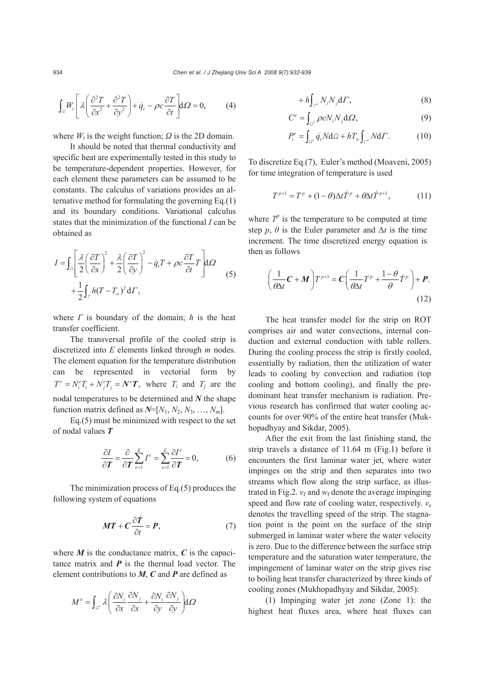$$
\int_{\Omega} W_t \left[ \lambda \left( \frac{\partial^2 T}{\partial x^2} + \frac{\partial^2 T}{\partial y^2} \right) + \dot{q}_t - \rho c \frac{\partial T}{\partial t} \right] d\Omega = 0, \tag{4}
$$

where  $W_t$  is the weight function;  $\Omega$  is the 2D domain.

It should be noted that thermal conductivity and specific heat are experimentally tested in this study to be temperature-dependent properties. However, for each element these parameters can be assumed to be constants. The calculus of variations provides an alternative method for formulating the governing Eq.(1) and its boundary conditions. Variational calculus states that the minimization of the functional *I* can be obtained as

$$
I = \int_{\Omega} \left[ \frac{\lambda}{2} \left( \frac{\partial T}{\partial x} \right)^2 + \frac{\lambda}{2} \left( \frac{\partial T}{\partial y} \right)^2 - \dot{q}_i T + \rho c \frac{\partial T}{\partial t} T \right] d\Omega
$$
  
+ 
$$
\frac{1}{2} \int_{\Gamma} h (T - T_{\infty})^2 d\Gamma,
$$
 (5)

where *Γ* is boundary of the domain; *h* is the heat transfer coefficient.

The transversal profile of the cooled strip is discretized into *E* elements linked through *m* nodes. The element equation for the temperature distribution can be represented in vectorial form by  $T^e = N_i^e T_i + N_i^e T_j = N^e T$ , where  $T_i$  and  $T_j$  are the nodal temperatures to be determined and *N* the shape function matrix defined as  $N=[N_1, N_2, N_3, ..., N_m]$ .

Eq.(5) must be minimized with respect to the set of nodal values *T*

$$
\frac{\partial I}{\partial \boldsymbol{T}} = \frac{\partial}{\partial \boldsymbol{T}} \sum_{e=1}^{E} I^e = \sum_{e=1}^{E} \frac{\partial I^e}{\partial \boldsymbol{T}} = 0, \tag{6}
$$

The minimization process of Eq.(5) produces the following system of equations

$$
MT + C \frac{\partial \dot{T}}{\partial t} = P, \tag{7}
$$

where  $M$  is the conductance matrix,  $C$  is the capacitance matrix and  $P$  is the thermal load vector. The element contributions to *M*, *C* and *P* are defined as

$$
M^{e} = \int_{\Omega^{e}} \lambda \left( \frac{\partial N_{i}}{\partial x} \frac{\partial N_{j}}{\partial x} + \frac{\partial N_{i}}{\partial y} \frac{\partial N_{j}}{\partial y} \right) d\Omega
$$

$$
+ h \int_{\Gamma^e} N_i N_j \mathrm{d} \Gamma, \tag{8}
$$

$$
C^e = \int_{\Omega^e} \rho c N_i N_j \, d\Omega,\tag{9}
$$

$$
P_i^e = \int_{\Omega^e} \dot{q}_t N \, \mathrm{d}\Omega + h T_\infty \int_{\Gamma^e} N \, \mathrm{d}\Gamma. \tag{10}
$$

To discretize Eq.(7), Euler's method (Moaveni, 2005) for time integration of temperature is used

$$
T^{p+1} = T^p + (1 - \theta)\Delta t \dot{T}^p + \theta \Delta t \dot{T}^{p+1}, \qquad (11)
$$

where  $T^p$  is the temperature to be computed at time step *p*,  $\theta$  is the Euler parameter and  $\Delta t$  is the time increment. The time discretized energy equation is then as follows

$$
\left(\frac{1}{\theta \Delta t} \mathbf{C} + \mathbf{M}\right) T^{p+1} = \mathbf{C} \left(\frac{1}{\theta \Delta t} T^p + \frac{1-\theta}{\theta} \dot{T}^p\right) + \mathbf{P}.
$$
\n(12)

The heat transfer model for the strip on ROT comprises air and water convections, internal conduction and external conduction with table rollers. During the cooling process the strip is firstly cooled, essentially by radiation, then the utilization of water leads to cooling by convection and radiation (top cooling and bottom cooling), and finally the predominant heat transfer mechanism is radiation. Previous research has confirmed that water cooling accounts for over 90% of the entire heat transfer (Mukhopadhyay and Sikdar, 2005).

After the exit from the last finishing stand, the strip travels a distance of 11.64 m (Fig.1) before it encounters the first laminar water jet, where water impinges on the strip and then separates into two streams which flow along the strip surface, as illustrated in Fig.2.  $v_f$  and  $w_f$  denote the average impinging speed and flow rate of cooling water, respectively.  $v_s$ denotes the travelling speed of the strip. The stagnation point is the point on the surface of the strip submerged in laminar water where the water velocity is zero. Due to the difference between the surface strip temperature and the saturation water temperature, the impingement of laminar water on the strip gives rise to boiling heat transfer characterized by three kinds of cooling zones (Mukhopadhyay and Sikdar, 2005):

(1) Impinging water jet zone (Zone 1): the highest heat fluxes area, where heat fluxes can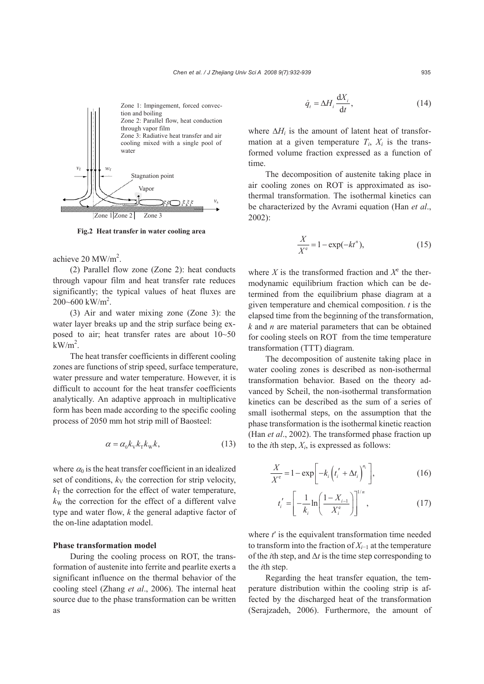

**Fig.2 Heat transfer in water cooling area**

achieve  $20 \text{ MW/m}^2$ .

(2) Parallel flow zone (Zone 2): heat conducts through vapour film and heat transfer rate reduces significantly; the typical values of heat fluxes are  $200 - 600$  kW/m<sup>2</sup>.

(3) Air and water mixing zone (Zone 3): the water layer breaks up and the strip surface being exposed to air; heat transfer rates are about 10~50  $kW/m<sup>2</sup>$ .

The heat transfer coefficients in different cooling zones are functions of strip speed, surface temperature, water pressure and water temperature. However, it is difficult to account for the heat transfer coefficients analytically. An adaptive approach in multiplicative form has been made according to the specific cooling process of 2050 mm hot strip mill of Baosteel:

$$
\alpha = \alpha_0 k_{\rm v} k_{\rm T} k_{\rm w} k,\tag{13}
$$

where  $\alpha_0$  is the heat transfer coefficient in an idealized set of conditions,  $k<sub>V</sub>$  the correction for strip velocity,  $k_T$  the correction for the effect of water temperature,  $k<sub>W</sub>$  the correction for the effect of a different valve type and water flow, *k* the general adaptive factor of the on-line adaptation model.

## **Phase transformation model**

During the cooling process on ROT, the transformation of austenite into ferrite and pearlite exerts a significant influence on the thermal behavior of the cooling steel (Zhang *et al*., 2006). The internal heat source due to the phase transformation can be written as

$$
\dot{q}_t = \Delta H_i \frac{\mathrm{d}X_i}{\mathrm{d}t},\tag{14}
$$

where  $\Delta H_i$  is the amount of latent heat of transformation at a given temperature  $T_i$ ,  $X_i$  is the transformed volume fraction expressed as a function of time.

The decomposition of austenite taking place in air cooling zones on ROT is approximated as isothermal transformation. The isothermal kinetics can be characterized by the Avrami equation (Han *et al*., 2002):

$$
\frac{X}{X^e} = 1 - \exp(-kt^n),\tag{15}
$$

where *X* is the transformed fraction and  $X^e$  the thermodynamic equilibrium fraction which can be determined from the equilibrium phase diagram at a given temperature and chemical composition. *t* is the elapsed time from the beginning of the transformation, *k* and *n* are material parameters that can be obtained for cooling steels on ROT from the time temperature transformation (TTT) diagram.

The decomposition of austenite taking place in water cooling zones is described as non-isothermal transformation behavior. Based on the theory advanced by Scheil, the non-isothermal transformation kinetics can be described as the sum of a series of small isothermal steps, on the assumption that the phase transformation is the isothermal kinetic reaction (Han *et al*., 2002). The transformed phase fraction up to the *i*th step,  $X_i$ , is expressed as follows:

$$
\frac{X}{X^{e}} = 1 - \exp\bigg[-k_{i}\bigg(t'_{i} + \Delta t_{i}\bigg)^{n_{i}}\bigg],\tag{16}
$$

$$
t'_{i} = \left[ -\frac{1}{k_{i}} \ln \left( \frac{1 - X_{i-1}}{X_{i}^e} \right) \right]^{1/n}, \tag{17}
$$

where *t*′ is the equivalent transformation time needed to transform into the fraction of *Xi*−1 at the temperature of the *i*th step, and  $\Delta t$  is the time step corresponding to the *i*th step.

Regarding the heat transfer equation, the temperature distribution within the cooling strip is affected by the discharged heat of the transformation (Serajzadeh, 2006). Furthermore, the amount of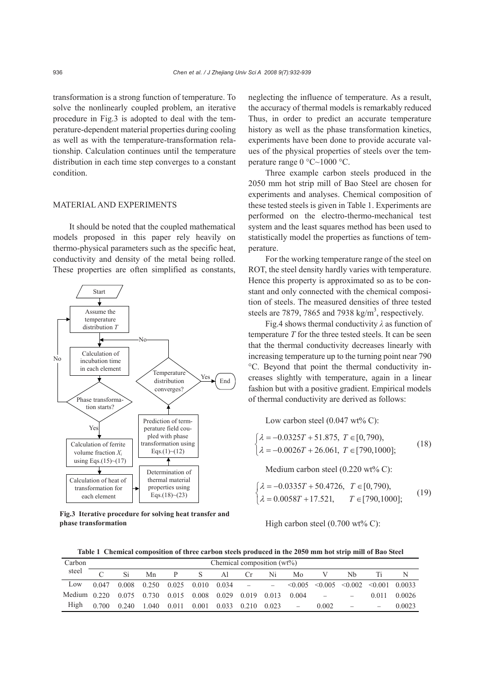transformation is a strong function of temperature. To solve the nonlinearly coupled problem, an iterative procedure in Fig.3 is adopted to deal with the temperature-dependent material properties during cooling as well as with the temperature-transformation relationship. Calculation continues until the temperature distribution in each time step converges to a constant condition.

#### MATERIAL AND EXPERIMENTS

It should be noted that the coupled mathematical models proposed in this paper rely heavily on thermo-physical parameters such as the specific heat, conductivity and density of the metal being rolled. These properties are often simplified as constants,



**Fig.3 Iterative procedure for solving heat transfer and phase transformation** 

neglecting the influence of temperature. As a result, the accuracy of thermal models is remarkably reduced Thus, in order to predict an accurate temperature history as well as the phase transformation kinetics, experiments have been done to provide accurate values of the physical properties of steels over the temperature range 0 °C~1000 °C.

Three example carbon steels produced in the 2050 mm hot strip mill of Bao Steel are chosen for experiments and analyses. Chemical composition of these tested steels is given in Table 1. Experiments are performed on the electro-thermo-mechanical test system and the least squares method has been used to statistically model the properties as functions of temperature.

For the working temperature range of the steel on ROT, the steel density hardly varies with temperature. Hence this property is approximated so as to be constant and only connected with the chemical composition of steels. The measured densities of three tested steels are 7879, 7865 and 7938  $\text{kg/m}^3$ , respectively.

Fig.4 shows thermal conductivity *λ* as function of temperature *T* for the three tested steels. It can be seen that the thermal conductivity decreases linearly with increasing temperature up to the turning point near 790 °C. Beyond that point the thermal conductivity increases slightly with temperature, again in a linear fashion but with a positive gradient. Empirical models of thermal conductivity are derived as follows:

Low carbon steel  $(0.047 \text{ wt\% C})$ :

$$
\begin{cases} \lambda = -0.0325T + 51.875, \ T \in [0, 790), \\ \lambda = -0.0026T + 26.061, \ T \in [790, 1000]; \end{cases}
$$
(18)

Medium carbon steel (0.220 wt% C):

$$
\begin{cases} \lambda = -0.0335T + 50.4726, & T \in [0, 790), \\ \lambda = 0.0058T + 17.521, & T \in [790, 1000]; \end{cases}
$$
(19)

High carbon steel  $(0.700 \text{ wt\% C})$ :

**Table 1 Chemical composition of three carbon steels produced in the 2050 mm hot strip mill of Bao Steel** 

| Carbon                               | Chemical composition $(wt\%)$ |       |             |               |       |             |                          |       |       |       |                                                            |       |        |
|--------------------------------------|-------------------------------|-------|-------------|---------------|-------|-------------|--------------------------|-------|-------|-------|------------------------------------------------------------|-------|--------|
| steel                                | $\cap$                        | Si    | Mn          |               | S.    | Al          | Cr.                      | Ni    | Mo    |       | Nh                                                         |       |        |
| Low                                  | 0.047                         |       | 0.008 0.250 | $0.025$ 0.010 |       | 0.034       | <b>Contract Contract</b> |       |       |       | $\leq 0.005$ $\leq 0.005$ $\leq 0.002$ $\leq 0.001$ 0.0033 |       |        |
| Medium 0.220 0.075 0.730 0.015 0.008 |                               |       |             |               |       | 0.029 0.019 |                          | 0.013 | 0.004 |       |                                                            | 0.011 | 0.0026 |
| High                                 | 0.700                         | 0.240 | 1.040       | 0.011         | 0.001 | 0.033       | 0.210                    | 0.023 |       | 0.002 |                                                            |       | 0.0023 |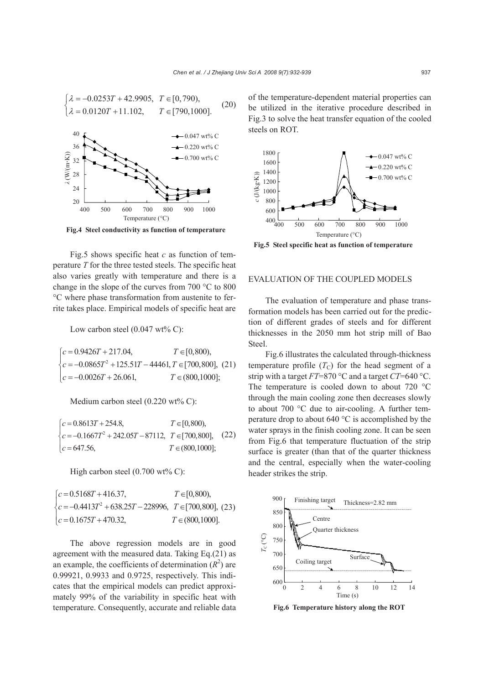

Fig.5 shows specific heat *c* as function of temperature *T* for the three tested steels. The specific heat also varies greatly with temperature and there is a change in the slope of the curves from 700 °C to 800 °C where phase transformation from austenite to ferrite takes place. Empirical models of specific heat are

Low carbon steel  $(0.047 \text{ wt\% C})$ :

$$
\begin{cases}\nc = 0.9426T + 217.04, & T \in [0,800), \\
c = -0.0865T^2 + 125.51T - 44461, & T \in [700,800], (21) \\
c = -0.0026T + 26.061, & T \in (800,1000];\n\end{cases}
$$

Medium carbon steel (0.220 wt% C):

$$
\begin{cases}\nc = 0.8613T + 254.8, & T \in [0,800), \\
c = -0.1667T^2 + 242.05T - 87112, & T \in [700,800], \\
c = 647.56, & T \in (800,1000];\n\end{cases}
$$
\n(22)

High carbon steel  $(0.700 \text{ wt\% C})$ :

 $\begin{cases} c = 0.5168T + 416.37, & T \in [0,800), \\ c = -0.4413T^2 + 638.25T - 228996, & T \in [700,800], (23) \end{cases}$  $c = 0.5168T + 416.37,$   $T \in [0,800),$  $c = 0.1675T + 470.32,$   $T \in (800,1000].$ 

The above regression models are in good agreement with the measured data. Taking Eq.(21) as an example, the coefficients of determination  $(R^2)$  are 0.99921, 0.9933 and 0.9725, respectively. This indicates that the empirical models can predict approximately 99% of the variability in specific heat with temperature. Consequently, accurate and reliable data

of the temperature-dependent material properties can be utilized in the iterative procedure described in Fig.3 to solve the heat transfer equation of the cooled steels on ROT.



**Fig.5 Steel specific heat as function of temperature** 

## EVALUATION OF THE COUPLED MODELS

The evaluation of temperature and phase transformation models has been carried out for the prediction of different grades of steels and for different thicknesses in the 2050 mm hot strip mill of Bao Steel.

Fig.6 illustrates the calculated through-thickness temperature profile  $(T_C)$  for the head segment of a strip with a target *FT*=870 °C and a target *CT*=640 °C. The temperature is cooled down to about 720 °C through the main cooling zone then decreases slowly to about 700 °C due to air-cooling. A further temperature drop to about 640 °C is accomplished by the water sprays in the finish cooling zone. It can be seen from Fig.6 that temperature fluctuation of the strip surface is greater (than that of the quarter thickness and the central, especially when the water-cooling header strikes the strip.



**Fig.6 Temperature history along the ROT**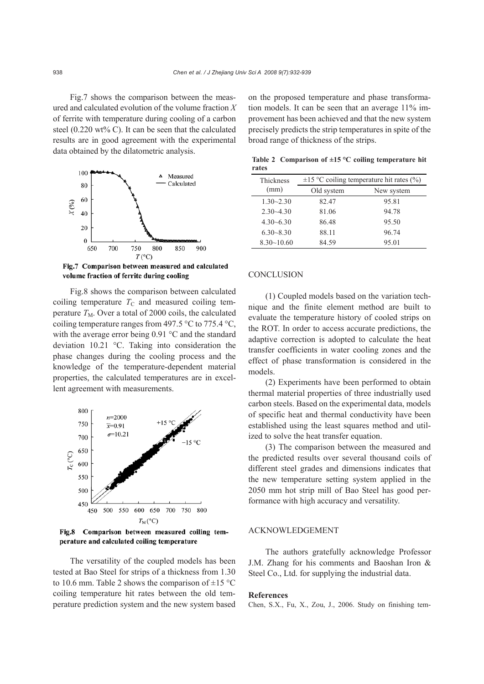Fig.7 shows the comparison between the measured and calculated evolution of the volume fraction *X*  of ferrite with temperature during cooling of a carbon steel (0.220 wt% C). It can be seen that the calculated results are in good agreement with the experimental data obtained by the dilatometric analysis.



Fig.7 Comparison between measured and calculated volume fraction of ferrite during cooling

Fig.8 shows the comparison between calculated coiling temperature  $T_{\rm C}$  and measured coiling temperature  $T_M$ . Over a total of 2000 coils, the calculated coiling temperature ranges from 497.5  $\degree$ C to 775.4  $\degree$ C, with the average error being 0.91 °C and the standard deviation 10.21 °C. Taking into consideration the phase changes during the cooling process and the knowledge of the temperature-dependent material properties, the calculated temperatures are in excellent agreement with measurements.



Fig.8 Comparison between measured coiling temperature and calculated coiling temperature

The versatility of the coupled models has been tested at Bao Steel for strips of a thickness from 1.30 to 10.6 mm. Table 2 shows the comparison of  $\pm$ 15 °C coiling temperature hit rates between the old temperature prediction system and the new system based on the proposed temperature and phase transformation models. It can be seen that an average 11% improvement has been achieved and that the new system precisely predicts the strip temperatures in spite of the broad range of thickness of the strips.

| rates            |                                               |            |  |  |  |  |  |
|------------------|-----------------------------------------------|------------|--|--|--|--|--|
| <b>Thickness</b> | $\pm 15$ °C coiling temperature hit rates (%) |            |  |  |  |  |  |
| (mm)             | Old system                                    | New system |  |  |  |  |  |
| $1.30 - 2.30$    | 82.47                                         | 95.81      |  |  |  |  |  |
| $2.30 - 4.30$    | 81.06                                         | 94.78      |  |  |  |  |  |
| $4.30 - 6.30$    | 86.48                                         | 95.50      |  |  |  |  |  |
| $6.30 - 8.30$    | 88.11                                         | 96.74      |  |  |  |  |  |
| $8.30 - 10.60$   | 84.59                                         | 95.01      |  |  |  |  |  |

#### **Table 2 Comparison of ±15 °C coiling temperature hit rates**

#### **CONCLUSION**

(1) Coupled models based on the variation technique and the finite element method are built to evaluate the temperature history of cooled strips on the ROT. In order to access accurate predictions, the adaptive correction is adopted to calculate the heat transfer coefficients in water cooling zones and the effect of phase transformation is considered in the models.

(2) Experiments have been performed to obtain thermal material properties of three industrially used carbon steels. Based on the experimental data, models of specific heat and thermal conductivity have been established using the least squares method and utilized to solve the heat transfer equation.

(3) The comparison between the measured and the predicted results over several thousand coils of different steel grades and dimensions indicates that the new temperature setting system applied in the 2050 mm hot strip mill of Bao Steel has good performance with high accuracy and versatility.

## ACKNOWLEDGEMENT

The authors gratefully acknowledge Professor J.M. Zhang for his comments and Baoshan Iron & Steel Co., Ltd. for supplying the industrial data.

#### **References**

Chen, S.X., Fu, X., Zou, J., 2006. Study on finishing tem-